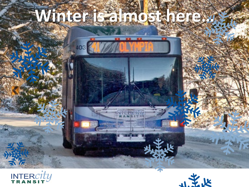# **Winter is almost here…**



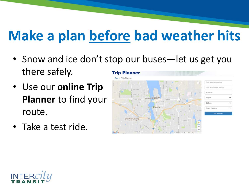# **Make a plan before bad weather hits**

- Snow and ice don't stop our buses—let us get you there safely. **Trip Planner**
- Use our **online Trip Planner** to find your route.
- Take a test ride.



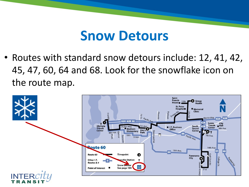#### **Snow Detours**

• Routes with standard snow detours include: 12, 41, 42, 45, 47, 60, 64 and 68. Look for the snowflake icon on the route map.

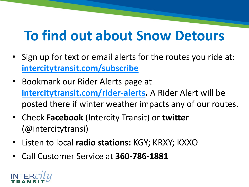### **To find out about Snow Detours**

- Sign up for text or email alerts for the routes you ride at: **[intercitytransit.com/subscribe](https://www.intercitytransit.com/subscribe)**
- Bookmark our Rider Alerts page at **[intercitytransit.com/rider-alerts.](http://www.intercitytransit.com/rider-alerts)** A Rider Alert will be posted there if winter weather impacts any of our routes.
- Check **Facebook** (Intercity Transit) or **twitter**  (@intercitytransi)
- Listen to local **radio stations:** KGY; KRXY; KXXO
- Call Customer Service at **360-786-1881**

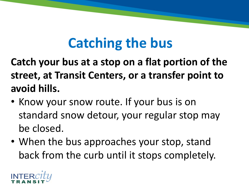# **Catching the bus**

**Catch your bus at a stop on a flat portion of the street, at Transit Centers, or a transfer point to avoid hills.**

- Know your snow route. If your bus is on standard snow detour, your regular stop may be closed.
- When the bus approaches your stop, stand back from the curb until it stops completely.

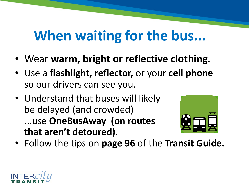### **When waiting for the bus...**

- Wear **warm, bright or reflective clothing**.
- Use a **flashlight, reflector,** or your **cell phone**  so our drivers can see you.
- Understand that buses will likely be delayed (and crowded) ...use **OneBusAway (on routes that aren't detoured)**.



• Follow the tips on **page 96** of the **Transit Guide.**

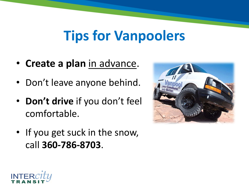#### **Tips for Vanpoolers**

- **Create a plan** in advance.
- Don't leave anyone behind.
- **Don't drive** if you don't feel comfortable.
- If you get suck in the snow, call **360-786-8703**.